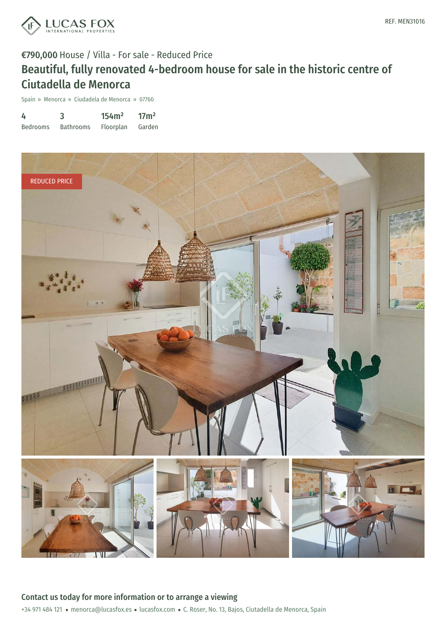

### €790,000 House / Villa - For sale - Reduced Price

# Beautiful, fully renovated 4-bedroom house for sale in the historic centre of Ciutadella de Menorca

Spain » Menorca » Ciudadela de Menorca » 07760

| 4               | 3                | 154m <sup>2</sup> | 17 <sup>m²</sup> |
|-----------------|------------------|-------------------|------------------|
| <b>Bedrooms</b> | <b>Bathrooms</b> | Floorplan         | Garden           |

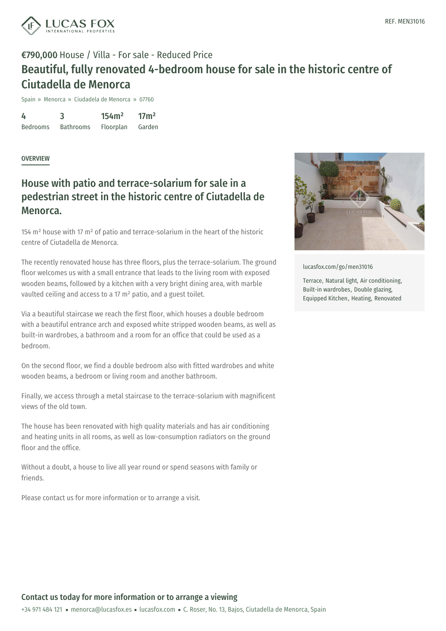

## €790,000 House / Villa - For sale - Reduced Price Beautiful, fully renovated 4-bedroom house for sale in the historic centre of Ciutadella de Menorca

Spain » Menorca » Ciudadela de Menorca » 07760

4 Bedrooms 3 Bathrooms 154m² Floorplan 17m² Garden

#### **OVERVIEW**

### House with patio and terrace-solarium for sale in a pedestrian street in the historic centre of Ciutadella de Menorca.

154 m² house with 17 m² of patio and terrace-solarium in the heart of the historic centre of Ciutadella de Menorca.

The recently renovated house has three floors, plus the terrace-solarium. The ground floor welcomes us with a small entrance that leads to the living room with exposed wooden beams, followed by a kitchen with a very bright dining area, with marble vaulted ceiling and access to a 17 m² patio, and a guest toilet.

Via a beautiful staircase we reach the first floor, which houses a double bedroom with a beautiful entrance arch and exposed white stripped wooden beams, as well as built-in wardrobes, a bathroom and a room for an office that could be used as a bedroom.

On the second floor, we find a double bedroom also with fitted wardrobes and white wooden beams, a bedroom or living room and another bathroom.

Finally, we access through a metal staircase to the terrace-solarium with magnificent views of the old town.

The house has been renovated with high quality materials and has air conditioning and heating units in all rooms, as well as low-consumption radiators on the ground floor and the office.

Without a doubt, a house to live all year round or spend seasons with family or friends.

Please contact us for more information or to arrange a visit.



[lucasfox.com/go/men31016](https://www.lucasfox.com/go/men31016)

Terrace, Natural light, Air conditioning, Built-in wardrobes, Double glazing, Equipped Kitchen, Heating, Renovated